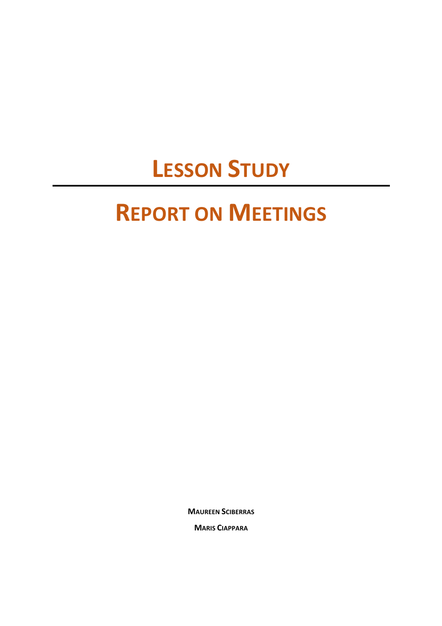## **LESSON STUDY**

## **REPORT ON MEETINGS**

**MAUREEN SCIBERRAS**

**MARIS CIAPPARA**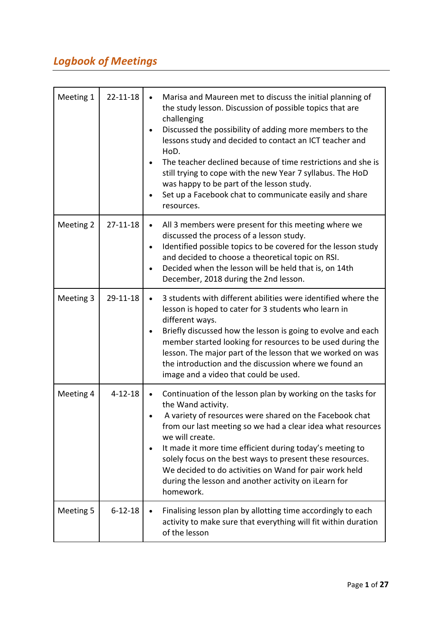## *Logbook of Meetings*

| Meeting 1 | $22 - 11 - 18$ | Marisa and Maureen met to discuss the initial planning of<br>$\bullet$<br>the study lesson. Discussion of possible topics that are<br>challenging<br>Discussed the possibility of adding more members to the<br>lessons study and decided to contact an ICT teacher and<br>HoD.<br>The teacher declined because of time restrictions and she is<br>still trying to cope with the new Year 7 syllabus. The HoD<br>was happy to be part of the lesson study.<br>Set up a Facebook chat to communicate easily and share<br>resources. |
|-----------|----------------|------------------------------------------------------------------------------------------------------------------------------------------------------------------------------------------------------------------------------------------------------------------------------------------------------------------------------------------------------------------------------------------------------------------------------------------------------------------------------------------------------------------------------------|
| Meeting 2 | $27 - 11 - 18$ | All 3 members were present for this meeting where we<br>$\bullet$<br>discussed the process of a lesson study.<br>Identified possible topics to be covered for the lesson study<br>and decided to choose a theoretical topic on RSI.<br>Decided when the lesson will be held that is, on 14th<br>December, 2018 during the 2nd lesson.                                                                                                                                                                                              |
| Meeting 3 | 29-11-18       | 3 students with different abilities were identified where the<br>lesson is hoped to cater for 3 students who learn in<br>different ways.<br>Briefly discussed how the lesson is going to evolve and each<br>member started looking for resources to be used during the<br>lesson. The major part of the lesson that we worked on was<br>the introduction and the discussion where we found an<br>image and a video that could be used.                                                                                             |
| Meeting 4 | $4 - 12 - 18$  | Continuation of the lesson plan by working on the tasks for<br>the Wand activity.<br>A variety of resources were shared on the Facebook chat<br>from our last meeting so we had a clear idea what resources<br>we will create.<br>It made it more time efficient during today's meeting to<br>solely focus on the best ways to present these resources.<br>We decided to do activities on Wand for pair work held<br>during the lesson and another activity on iLearn for<br>homework.                                             |
| Meeting 5 | $6 - 12 - 18$  | Finalising lesson plan by allotting time accordingly to each<br>activity to make sure that everything will fit within duration<br>of the lesson                                                                                                                                                                                                                                                                                                                                                                                    |